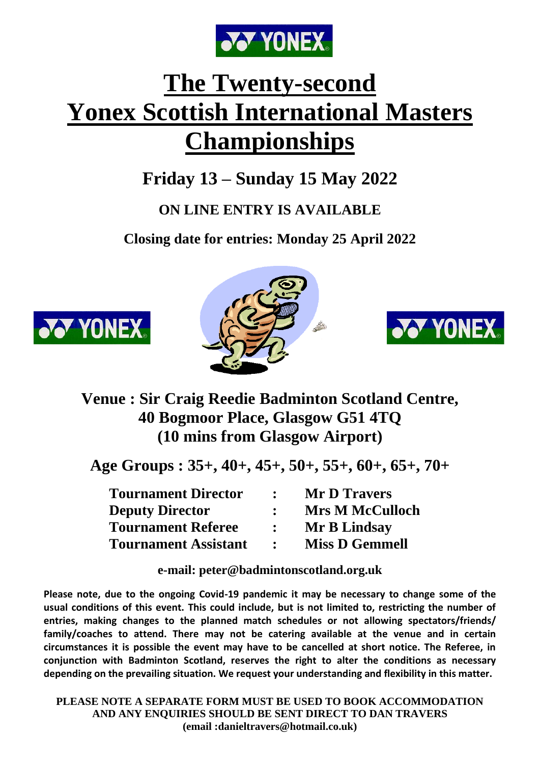

# **The Twenty-second Yonex Scottish International Masters Championships**

# **Friday 13 – Sunday 15 May 2022**

# **ON LINE ENTRY IS AVAILABLE**

**Closing date for entries: Monday 25 April 2022**







# **Venue : Sir Craig Reedie Badminton Scotland Centre, 40 Bogmoor Place, Glasgow G51 4TQ (10 mins from Glasgow Airport)**

**Age Groups : 35+, 40+, 45+, 50+, 55+, 60+, 65+, 70+**

| <b>Tournament Director</b>  | <b>Mr D Travers</b>    |
|-----------------------------|------------------------|
| <b>Deputy Director</b>      | <b>Mrs M McCulloch</b> |
| <b>Tournament Referee</b>   | Mr B Lindsay           |
| <b>Tournament Assistant</b> | <b>Miss D Gemmell</b>  |

**e-mail: peter@badmintonscotland.org.uk**

**Please note, due to the ongoing Covid-19 pandemic it may be necessary to change some of the usual conditions of this event. This could include, but is not limited to, restricting the number of entries, making changes to the planned match schedules or not allowing spectators/friends/ family/coaches to attend. There may not be catering available at the venue and in certain circumstances it is possible the event may have to be cancelled at short notice. The Referee, in conjunction with Badminton Scotland, reserves the right to alter the conditions as necessary depending on the prevailing situation. We request your understanding and flexibility in this matter.**

**PLEASE NOTE A SEPARATE FORM MUST BE USED TO BOOK ACCOMMODATION AND ANY ENQUIRIES SHOULD BE SENT DIRECT TO DAN TRAVERS (email :danieltravers@hotmail.co.uk)**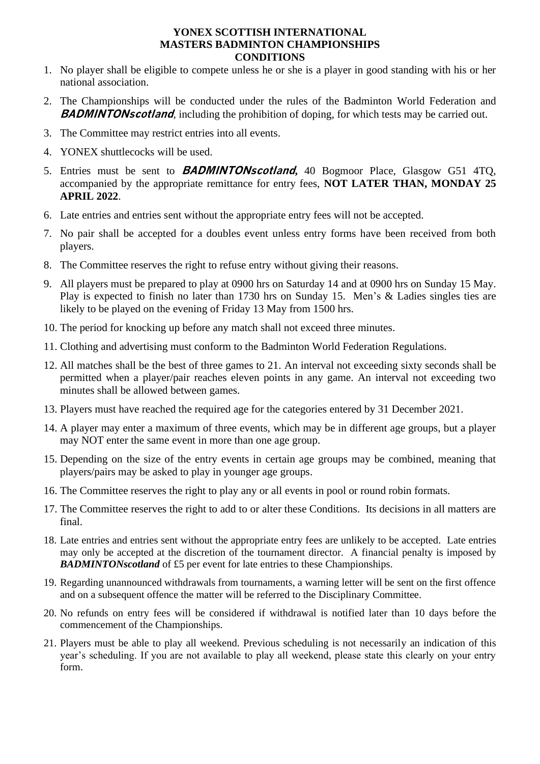#### **YONEX SCOTTISH INTERNATIONAL MASTERS BADMINTON CHAMPIONSHIPS CONDITIONS**

- 1. No player shall be eligible to compete unless he or she is a player in good standing with his or her national association.
- 2. The Championships will be conducted under the rules of the Badminton World Federation and **BADMINTONscotland**, including the prohibition of doping, for which tests may be carried out.
- 3. The Committee may restrict entries into all events.
- 4. YONEX shuttlecocks will be used.
- 5. Entries must be sent to **BADMINTONscotland,** 40 Bogmoor Place, Glasgow G51 4TQ, accompanied by the appropriate remittance for entry fees, **NOT LATER THAN, MONDAY 25 APRIL 2022**.
- 6. Late entries and entries sent without the appropriate entry fees will not be accepted.
- 7. No pair shall be accepted for a doubles event unless entry forms have been received from both players.
- 8. The Committee reserves the right to refuse entry without giving their reasons.
- 9. All players must be prepared to play at 0900 hrs on Saturday 14 and at 0900 hrs on Sunday 15 May. Play is expected to finish no later than 1730 hrs on Sunday 15. Men's & Ladies singles ties are likely to be played on the evening of Friday 13 May from 1500 hrs.
- 10. The period for knocking up before any match shall not exceed three minutes.
- 11. Clothing and advertising must conform to the Badminton World Federation Regulations.
- 12. All matches shall be the best of three games to 21. An interval not exceeding sixty seconds shall be permitted when a player/pair reaches eleven points in any game. An interval not exceeding two minutes shall be allowed between games.
- 13. Players must have reached the required age for the categories entered by 31 December 2021.
- 14. A player may enter a maximum of three events, which may be in different age groups, but a player may NOT enter the same event in more than one age group.
- 15. Depending on the size of the entry events in certain age groups may be combined, meaning that players/pairs may be asked to play in younger age groups.
- 16. The Committee reserves the right to play any or all events in pool or round robin formats.
- 17. The Committee reserves the right to add to or alter these Conditions. Its decisions in all matters are final.
- 18. Late entries and entries sent without the appropriate entry fees are unlikely to be accepted*.* Late entries may only be accepted at the discretion of the tournament director. A financial penalty is imposed by *BADMINTONscotland* of £5 per event for late entries to these Championships.
- 19. Regarding unannounced withdrawals from tournaments, a warning letter will be sent on the first offence and on a subsequent offence the matter will be referred to the Disciplinary Committee.
- 20. No refunds on entry fees will be considered if withdrawal is notified later than 10 days before the commencement of the Championships.
- 21. Players must be able to play all weekend. Previous scheduling is not necessarily an indication of this year's scheduling. If you are not available to play all weekend, please state this clearly on your entry form.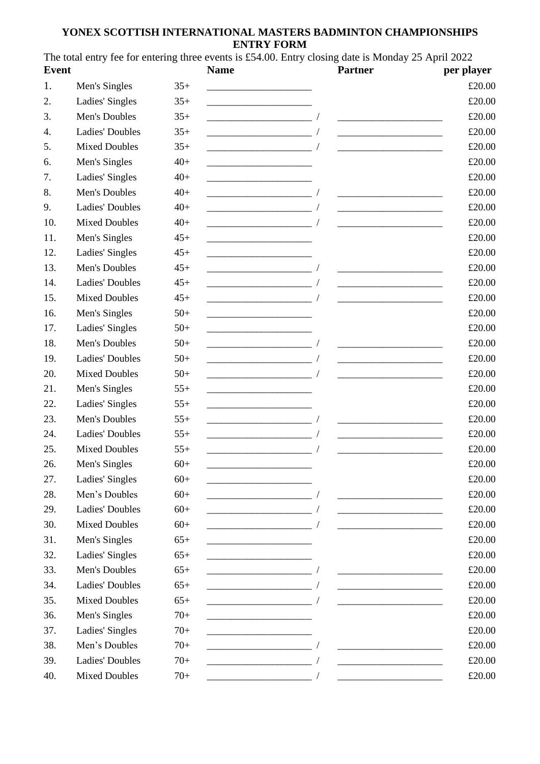#### **YONEX SCOTTISH INTERNATIONAL MASTERS BADMINTON CHAMPIONSHIPS ENTRY FORM**

The total entry fee for entering three events is £54.00. Entry closing date is Monday 25 April 2022 **Event Name Partner per player**

| ĽVCIIt |                        |       | ташс                                                                                                                                                                                                                                 | a di tinci                                                                                                            | рсі ріаўсі |
|--------|------------------------|-------|--------------------------------------------------------------------------------------------------------------------------------------------------------------------------------------------------------------------------------------|-----------------------------------------------------------------------------------------------------------------------|------------|
| 1.     | Men's Singles          | $35+$ |                                                                                                                                                                                                                                      |                                                                                                                       | £20.00     |
| 2.     | Ladies' Singles        | $35+$ | <u> 1989 - Johann John Stone, mars et al. 1989 - John Stone, mars et al. 1989 - John Stone, mars et al. 1989 - John Stone</u>                                                                                                        |                                                                                                                       | £20.00     |
| 3.     | Men's Doubles          | $35+$ | <u> 1989 - Johann Barbara, martxa alemaniar a</u>                                                                                                                                                                                    |                                                                                                                       | £20.00     |
| 4.     | <b>Ladies' Doubles</b> | $35+$ |                                                                                                                                                                                                                                      |                                                                                                                       | £20.00     |
| 5.     | <b>Mixed Doubles</b>   | $35+$ |                                                                                                                                                                                                                                      | <u> 1989 - Johann John Stone, mars eta biztanleria (</u>                                                              | £20.00     |
| 6.     | Men's Singles          | $40+$ | <u> 1989 - Johann Barn, mars an t-Amerikaansk politiker (</u>                                                                                                                                                                        |                                                                                                                       | £20.00     |
| 7.     | Ladies' Singles        | $40+$ | <u> 1989 - Johann John Harry Harry Harry Harry Harry Harry Harry Harry Harry Harry Harry Harry Harry Harry Harry Harry Harry Harry Harry Harry Harry Harry Harry Harry Harry Harry Harry Harry Harry Harry Harry Harry Harry Har</u> |                                                                                                                       | £20.00     |
| 8.     | Men's Doubles          | $40+$ |                                                                                                                                                                                                                                      | <u> 1980 - Johann Barbara, martin amerikan basar dan basa dan basar dalam basa dalam basa dalam basa dalam basa </u>  | £20.00     |
| 9.     | <b>Ladies' Doubles</b> | $40+$ |                                                                                                                                                                                                                                      |                                                                                                                       | £20.00     |
| 10.    | <b>Mixed Doubles</b>   | $40+$ |                                                                                                                                                                                                                                      |                                                                                                                       | £20.00     |
| 11.    | Men's Singles          | $45+$ |                                                                                                                                                                                                                                      |                                                                                                                       | £20.00     |
| 12.    | Ladies' Singles        | $45+$ |                                                                                                                                                                                                                                      |                                                                                                                       | £20.00     |
| 13.    | Men's Doubles          | $45+$ |                                                                                                                                                                                                                                      |                                                                                                                       | £20.00     |
| 14.    | <b>Ladies' Doubles</b> | $45+$ |                                                                                                                                                                                                                                      |                                                                                                                       | £20.00     |
| 15.    | <b>Mixed Doubles</b>   | $45+$ | <u> 1980 - Johann John Stone, mars eta biztanleria (</u>                                                                                                                                                                             |                                                                                                                       | £20.00     |
| 16.    | Men's Singles          | $50+$ |                                                                                                                                                                                                                                      |                                                                                                                       | £20.00     |
| 17.    | Ladies' Singles        | $50+$ |                                                                                                                                                                                                                                      |                                                                                                                       | £20.00     |
| 18.    | Men's Doubles          | $50+$ |                                                                                                                                                                                                                                      |                                                                                                                       | £20.00     |
| 19.    | <b>Ladies' Doubles</b> | $50+$ |                                                                                                                                                                                                                                      |                                                                                                                       | £20.00     |
| 20.    | <b>Mixed Doubles</b>   | $50+$ |                                                                                                                                                                                                                                      | <u> 1980 - Johann Barbara, martxa alemaniar a</u>                                                                     | £20.00     |
| 21.    | Men's Singles          | $55+$ | <u> 1989 - Johann Barbara, martin amerikan personal (</u>                                                                                                                                                                            |                                                                                                                       | £20.00     |
| 22.    | Ladies' Singles        | $55+$ |                                                                                                                                                                                                                                      |                                                                                                                       | £20.00     |
| 23.    | Men's Doubles          | $55+$ | <u> La componenta de la componenta de la componenta de la componenta de la componenta de la componenta de la compo</u>                                                                                                               |                                                                                                                       | £20.00     |
| 24.    | <b>Ladies' Doubles</b> | $55+$ | <u> 1989 - Johann Barn, mars eta bat eta bat e</u>                                                                                                                                                                                   | <u> 1989 - Johann Barn, mars eta bainar eta i</u>                                                                     | £20.00     |
| 25.    | <b>Mixed Doubles</b>   | $55+$ |                                                                                                                                                                                                                                      |                                                                                                                       | £20.00     |
| 26.    | Men's Singles          | $60+$ |                                                                                                                                                                                                                                      |                                                                                                                       | £20.00     |
| 27.    | Ladies' Singles        | $60+$ |                                                                                                                                                                                                                                      |                                                                                                                       | £20.00     |
| 28.    | Men's Doubles          | $60+$ | <u> 1989 - Johann John Stone, mars eta batean eta industrial eta industrial eta industrial eta industrial eta in</u>                                                                                                                 | <u> 1989 - Johann Harry Harry Harry Harry Harry Harry Harry Harry Harry Harry Harry Harry Harry Harry Harry Harry</u> | £20.00     |
| 29.    | <b>Ladies' Doubles</b> | $60+$ |                                                                                                                                                                                                                                      | <u> 1989 - Johann Barn, mars ar breithinn ar breithinn an t-Alban ann an t-Alban ann an t-Alban ann an t-Alban a</u>  | £20.00     |
| 30.    | <b>Mixed Doubles</b>   | $60+$ |                                                                                                                                                                                                                                      |                                                                                                                       | £20.00     |
| 31.    | Men's Singles          | $65+$ |                                                                                                                                                                                                                                      |                                                                                                                       | £20.00     |
| 32.    | Ladies' Singles        | $65+$ |                                                                                                                                                                                                                                      |                                                                                                                       | £20.00     |
| 33.    | Men's Doubles          | $65+$ |                                                                                                                                                                                                                                      |                                                                                                                       | £20.00     |
| 34.    | <b>Ladies' Doubles</b> | $65+$ |                                                                                                                                                                                                                                      | <u> 1989 - Johann Barbara, martxa alemaniar arg</u>                                                                   | £20.00     |
| 35.    | <b>Mixed Doubles</b>   | $65+$ |                                                                                                                                                                                                                                      |                                                                                                                       | £20.00     |
| 36.    | Men's Singles          | $70+$ |                                                                                                                                                                                                                                      |                                                                                                                       | £20.00     |
| 37.    | Ladies' Singles        | $70+$ |                                                                                                                                                                                                                                      |                                                                                                                       | £20.00     |
| 38.    | Men's Doubles          | $70+$ |                                                                                                                                                                                                                                      |                                                                                                                       | £20.00     |
| 39.    | <b>Ladies' Doubles</b> | $70+$ |                                                                                                                                                                                                                                      |                                                                                                                       | £20.00     |
| 40.    | <b>Mixed Doubles</b>   | $70+$ |                                                                                                                                                                                                                                      |                                                                                                                       | £20.00     |